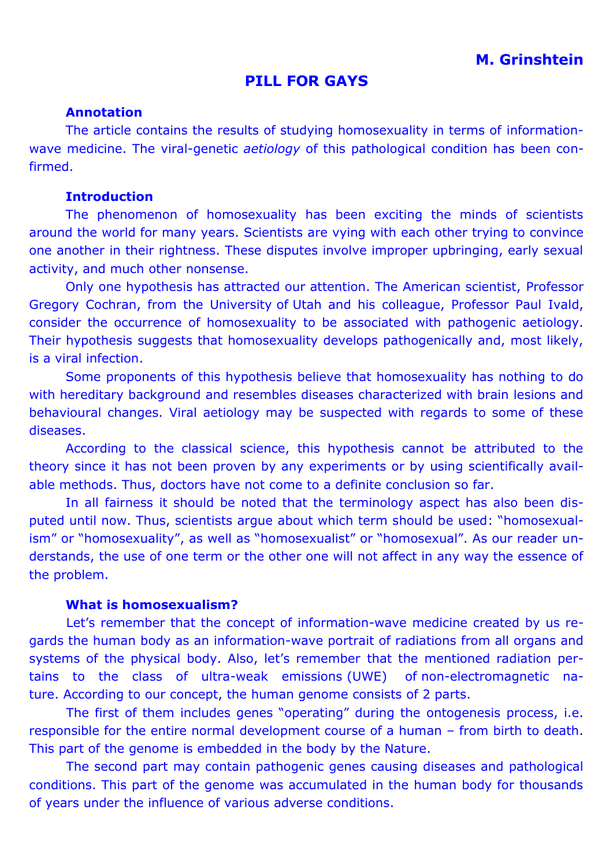# **M. Grinshtein**

### **PILL FOR GAYS**

#### **Annotation**

The article contains the results of studying homosexuality in terms of informationwave medicine. The viral-genetic *aetiology* of this pathological condition has been confirmed.

#### **Introduction**

The phenomenon of homosexuality has been exciting the minds of scientists around the world for many years. Scientists are vying with each other trying to convince one another in their rightness. These disputes involve improper upbringing, early sexual activity, and much other nonsense.

Only one hypothesis has attracted our attention. The American scientist, Professor Gregory Cochran, from the University of Utah and his colleague, Professor Paul Ivald, consider the occurrence of homosexuality to be associated with pathogenic aetiology. Their hypothesis suggests that homosexuality develops pathogenically and, most likely, is a viral infection.

Some proponents of this hypothesis believe that homosexuality has nothing to do with hereditary background and resembles diseases characterized with brain lesions and behavioural changes. Viral aetiology may be suspected with regards to some of these diseases.

According to the classical science, this hypothesis cannot be attributed to the theory since it has not been proven by any experiments or by using scientifically available methods. Thus, doctors have not come to a definite conclusion so far.

In all fairness it should be noted that the terminology aspect has also been disputed until now. Thus, scientists argue about which term should be used: "homosexualism" or "homosexuality", as well as "homosexualist" or "homosexual". As our reader understands, the use of one term or the other one will not affect in any way the essence of the problem.

#### **What is homosexualism?**

Let's remember that the concept of information-wave medicine created by us regards the human body as an information-wave portrait of radiations from all organs and systems of the physical body. Also, let's remember that the mentioned radiation pertains to the class of ultra-weak emissions (UWE) of non-electromagnetic nature. According to our concept, the human genome consists of 2 parts.

The first of them includes genes "operating" during the ontogenesis process, i.e. responsible for the entire normal development course of a human – from birth to death. This part of the genome is embedded in the body by the Nature.

The second part may contain pathogenic genes causing diseases and pathological conditions. This part of the genome was accumulated in the human body for thousands of years under the influence of various adverse conditions.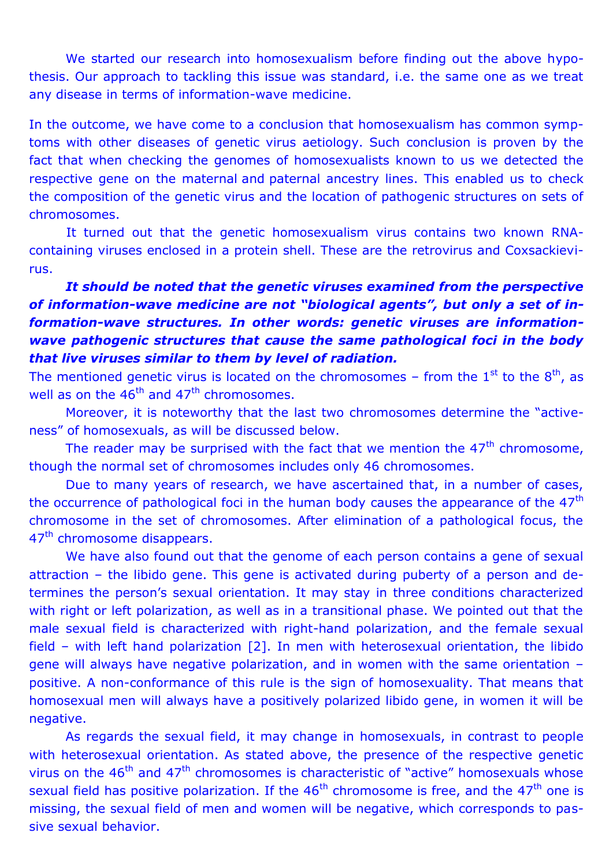We started our research into homosexualism before finding out the above hypothesis. Our approach to tackling this issue was standard, i.e. the same one as we treat any disease in terms of information-wave medicine.

In the outcome, we have come to a conclusion that homosexualism has common symptoms with other diseases of genetic virus aetiology. Such conclusion is proven by the fact that when checking the genomes of homosexualists known to us we detected the respective gene on the maternal and paternal ancestry lines. This enabled us to check the composition of the genetic virus and the location of pathogenic structures on sets of chromosomes.

It turned out that the genetic homosexualism virus contains two known RNAcontaining viruses enclosed in a protein shell. These are the retrovirus and Coxsackievirus.

# *It should be noted that the genetic viruses examined from the perspective of information-wave medicine are not "biological agents", but only a set of information-wave structures. In other words: genetic viruses are informationwave pathogenic structures that cause the same pathological foci in the body that live viruses similar to them by level of radiation.*

The mentioned genetic virus is located on the chromosomes – from the  $1<sup>st</sup>$  to the  $8<sup>th</sup>$ , as well as on the  $46<sup>th</sup>$  and  $47<sup>th</sup>$  chromosomes.

Moreover, it is noteworthy that the last two chromosomes determine the "activeness" of homosexuals, as will be discussed below.

The reader may be surprised with the fact that we mention the  $47<sup>th</sup>$  chromosome, though the normal set of chromosomes includes only 46 chromosomes.

Due to many years of research, we have ascertained that, in a number of cases, the occurrence of pathological foci in the human body causes the appearance of the  $47<sup>th</sup>$ chromosome in the set of chromosomes. After elimination of a pathological focus, the 47<sup>th</sup> chromosome disappears.

We have also found out that the genome of each person contains a gene of sexual attraction – the libido gene. This gene is activated during puberty of a person and determines the person's sexual orientation. It may stay in three conditions characterized with right or left polarization, as well as in a transitional phase. We pointed out that the male sexual field is characterized with right-hand polarization, and the female sexual field – with left hand polarization [2]. In men with heterosexual orientation, the libido gene will always have negative polarization, and in women with the same orientation – positive. A non-conformance of this rule is the sign of homosexuality. That means that homosexual men will always have a positively polarized libido gene, in women it will be negative.

As regards the sexual field, it may change in homosexuals, in contrast to people with heterosexual orientation. As stated above, the presence of the respective genetic virus on the  $46<sup>th</sup>$  and  $47<sup>th</sup>$  chromosomes is characteristic of "active" homosexuals whose sexual field has positive polarization. If the  $46<sup>th</sup>$  chromosome is free, and the  $47<sup>th</sup>$  one is missing, the sexual field of men and women will be negative, which corresponds to passive sexual behavior.